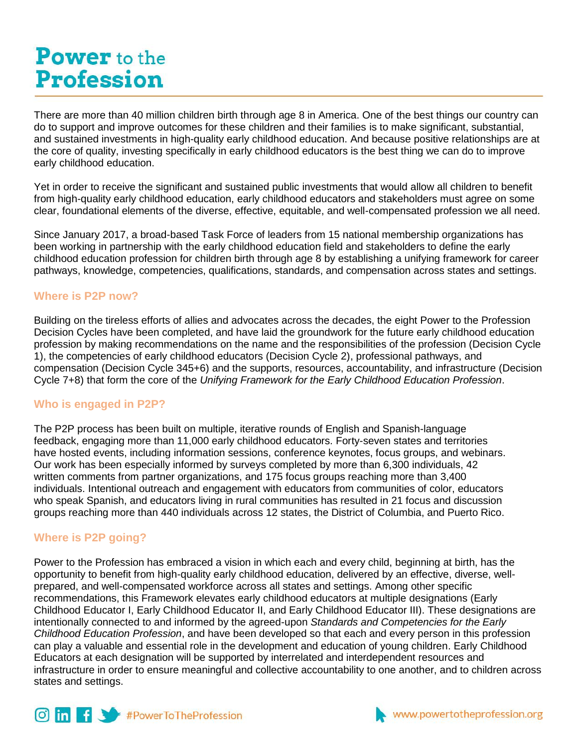# **Power** to the **Profession**

There are more than 40 million children birth through age 8 in America. One of the best things our country can do to support and improve outcomes for these children and their families is to make significant, substantial, and sustained investments in high-quality early childhood education. And because positive relationships are at the core of quality, investing specifically in early childhood educators is the best thing we can do to improve early childhood education.

Yet in order to receive the significant and sustained public investments that would allow all children to benefit from high-quality early childhood education, early childhood educators and stakeholders must agree on some clear, foundational elements of the diverse, effective, equitable, and well-compensated profession we all need.

Since January 2017, a broad-based Task Force of leaders from 15 national membership organizations has been working in partnership with the early childhood education field and stakeholders to define the early childhood education profession for children birth through age 8 by establishing a unifying framework for career pathways, knowledge, competencies, qualifications, standards, and compensation across states and settings.

# **Where is P2P now?**

Building on the tireless efforts of allies and advocates across the decades, the eight Power to the Profession Decision Cycles have been completed, and have laid the groundwork for the future early childhood education profession by making recommendations on the name and the responsibilities of the profession (Decision Cycle 1), the competencies of early childhood educators (Decision Cycle 2), professional pathways, and compensation (Decision Cycle 345+6) and the supports, resources, accountability, and infrastructure (Decision Cycle 7+8) that form the core of the *Unifying Framework for the Early Childhood Education Profession*.

# **Who is engaged in P2P?**

The P2P process has been built on multiple, iterative rounds of English and Spanish-language feedback, engaging more than 11,000 early childhood educators. Forty-seven states and territories have hosted events, including information sessions, conference keynotes, focus groups, and webinars. Our work has been especially informed by surveys completed by more than 6,300 individuals, 42 written comments from partner organizations, and 175 focus groups reaching more than 3,400 individuals. Intentional outreach and engagement with educators from communities of color, educators who speak Spanish, and educators living in rural communities has resulted in 21 focus and discussion groups reaching more than 440 individuals across 12 states, the District of Columbia, and Puerto Rico.

# **Where is P2P going?**

Power to the Profession has embraced a vision in which each and every child, beginning at birth, has the opportunity to benefit from high-quality early childhood education, delivered by an effective, diverse, wellprepared, and well-compensated workforce across all states and settings. Among other specific recommendations, this Framework elevates early childhood educators at multiple designations (Early Childhood Educator I, Early Childhood Educator II, and Early Childhood Educator III). These designations are intentionally connected to and informed by the agreed-upon *Standards and Competencies for the Early Childhood Education Profession*, and have been developed so that each and every person in this profession can play a valuable and essential role in the development and education of young children. Early Childhood Educators at each designation will be supported by interrelated and interdependent resources and infrastructure in order to ensure meaningful and collective accountability to one another, and to children across states and settings.